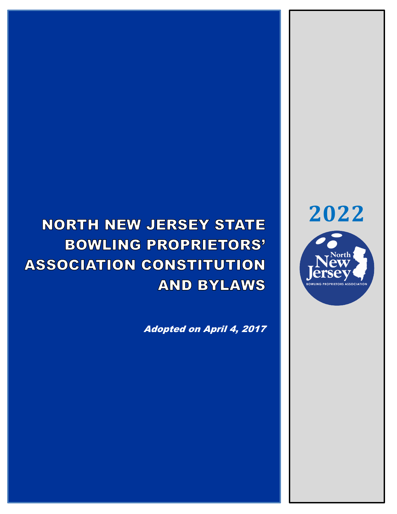# **NORTH NEW JERSEY STATE BOWLING PROPRIETORS' ASSOCIATION CONSTITUTION AND BYLAWS**

Adopted on April 4, 2017



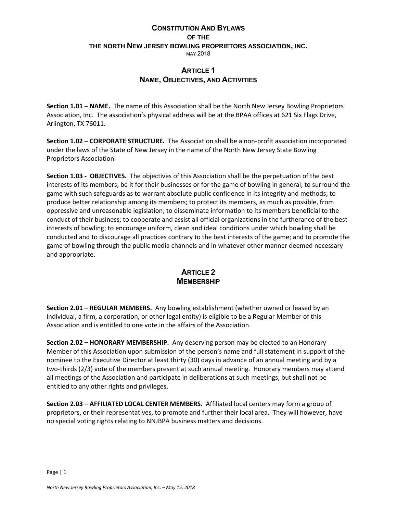### **CONSTITUTION AND BYLAWS OF THE THE NORTH NEW JERSEY BOWLING PROPRIETORS ASSOCIATION, INC.** MAY 2018

### **ARTICLE 1 NAME, OBJECTIVES, AND ACTIVITIES**

**Section 1.01 – NAME.** The name of this Association shall be the North New Jersey Bowling Proprietors Association, Inc. The association's physical address will be at the BPAA offices at 621 Six Flags Drive, Arlington, TX 76011.

**Section 1.02 – CORPORATE STRUCTURE.** The Association shall be a non-profit association incorporated under the laws of the State of New Jersey in the name of the North New Jersey State Bowling Proprietors Association.

**Section 1.03 - OBJECTIVES.** The objectives of this Association shall be the perpetuation of the best interests of its members, be it for their businesses or for the game of bowling in general; to surround the game with such safeguards as to warrant absolute public confidence in its integrity and methods; to produce better relationship among its members; to protect its members, as much as possible, from oppressive and unreasonable legislation; to disseminate information to its members beneficial to the conduct of their business; to cooperate and assist all official organizations in the furtherance of the best interests of bowling; to encourage uniform, clean and ideal conditions under which bowling shall be conducted and to discourage all practices contrary to the best interests of the game; and to promote the game of bowling through the public media channels and in whatever other manner deemed necessary and appropriate.

### **ARTICLE 2 MEMBERSHIP**

**Section 2.01 – REGULAR MEMBERS.** Any bowling establishment (whether owned or leased by an individual, a firm, a corporation, or other legal entity) is eligible to be a Regular Member of this Association and is entitled to one vote in the affairs of the Association.

**Section 2.02 – HONORARY MEMBERSHIP.** Any deserving person may be elected to an Honorary Member of this Association upon submission of the person's name and full statement in support of the nominee to the Executive Director at least thirty (30) days in advance of an annual meeting and by a two-thirds (2/3) vote of the members present at such annual meeting. Honorary members may attend all meetings of the Association and participate in deliberations at such meetings, but shall not be entitled to any other rights and privileges.

**Section 2.03 – AFFILIATED LOCAL CENTER MEMBERS.** Affiliated local centers may form a group of proprietors, or their representatives, to promote and further their local area. They will however, have no special voting rights relating to NNJBPA business matters and decisions.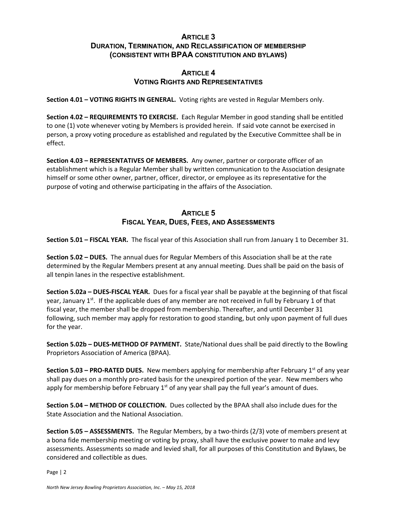### **ARTICLE 3 DURATION, TERMINATION, AND RECLASSIFICATION OF MEMBERSHIP (CONSISTENT WITH BPAA CONSTITUTION AND BYLAWS)**

### **ARTICLE 4 VOTING RIGHTS AND REPRESENTATIVES**

**Section 4.01 – VOTING RIGHTS IN GENERAL.** Voting rights are vested in Regular Members only.

**Section 4.02 – REQUIREMENTS TO EXERCISE.** Each Regular Member in good standing shall be entitled to one (1) vote whenever voting by Members is provided herein. If said vote cannot be exercised in person, a proxy voting procedure as established and regulated by the Executive Committee shall be in effect.

**Section 4.03 – REPRESENTATIVES OF MEMBERS.** Any owner, partner or corporate officer of an establishment which is a Regular Member shall by written communication to the Association designate himself or some other owner, partner, officer, director, or employee as its representative for the purpose of voting and otherwise participating in the affairs of the Association.

### **ARTICLE 5 FISCAL YEAR, DUES, FEES, AND ASSESSMENTS**

**Section 5.01 – FISCAL YEAR.** The fiscal year of this Association shall run from January 1 to December 31.

**Section 5.02 – DUES.** The annual dues for Regular Members of this Association shall be at the rate determined by the Regular Members present at any annual meeting. Dues shall be paid on the basis of all tenpin lanes in the respective establishment.

**Section 5.02a – DUES-FISCAL YEAR.** Dues for a fiscal year shall be payable at the beginning of that fiscal year, January  $1^{st}$ . If the applicable dues of any member are not received in full by February 1 of that fiscal year, the member shall be dropped from membership. Thereafter, and until December 31 following, such member may apply for restoration to good standing, but only upon payment of full dues for the year.

**Section 5.02b – DUES-METHOD OF PAYMENT.** State/National dues shall be paid directly to the Bowling Proprietors Association of America (BPAA).

**Section 5.03 – PRO-RATED DUES.** New members applying for membership after February 1<sup>st</sup> of any year shall pay dues on a monthly pro-rated basis for the unexpired portion of the year. New members who apply for membership before February  $1<sup>st</sup>$  of any year shall pay the full year's amount of dues.

**Section 5.04 – METHOD OF COLLECTION.** Dues collected by the BPAA shall also include dues for the State Association and the National Association.

**Section 5.05 – ASSESSMENTS.** The Regular Members, by a two-thirds (2/3) vote of members present at a bona fide membership meeting or voting by proxy, shall have the exclusive power to make and levy assessments. Assessments so made and levied shall, for all purposes of this Constitution and Bylaws, be considered and collectible as dues.

Page | 2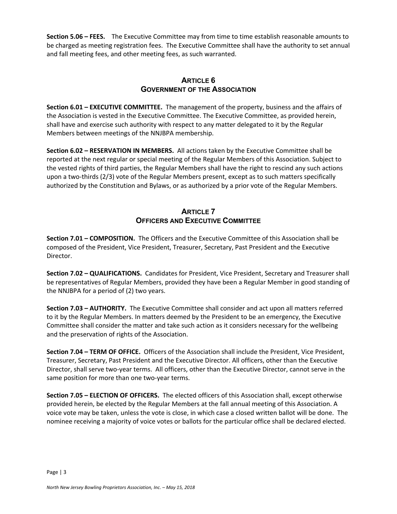**Section 5.06 – FEES.** The Executive Committee may from time to time establish reasonable amounts to be charged as meeting registration fees. The Executive Committee shall have the authority to set annual and fall meeting fees, and other meeting fees, as such warranted.

### **ARTICLE 6 GOVERNMENT OF THE ASSOCIATION**

**Section 6.01 – EXECUTIVE COMMITTEE.** The management of the property, business and the affairs of the Association is vested in the Executive Committee. The Executive Committee, as provided herein, shall have and exercise such authority with respect to any matter delegated to it by the Regular Members between meetings of the NNJBPA membership.

**Section 6.02 – RESERVATION IN MEMBERS.** All actions taken by the Executive Committee shall be reported at the next regular or special meeting of the Regular Members of this Association. Subject to the vested rights of third parties, the Regular Members shall have the right to rescind any such actions upon a two-thirds (2/3) vote of the Regular Members present, except as to such matters specifically authorized by the Constitution and Bylaws, or as authorized by a prior vote of the Regular Members.

### **ARTICLE 7 OFFICERS AND EXECUTIVE COMMITTEE**

**Section 7.01 – COMPOSITION.** The Officers and the Executive Committee of this Association shall be composed of the President, Vice President, Treasurer, Secretary, Past President and the Executive Director.

**Section 7.02 – QUALIFICATIONS.** Candidates for President, Vice President, Secretary and Treasurer shall be representatives of Regular Members, provided they have been a Regular Member in good standing of the NNJBPA for a period of (2) two years.

**Section 7.03 – AUTHORITY.** The Executive Committee shall consider and act upon all matters referred to it by the Regular Members. In matters deemed by the President to be an emergency, the Executive Committee shall consider the matter and take such action as it considers necessary for the wellbeing and the preservation of rights of the Association.

**Section 7.04 – TERM OF OFFICE.** Officers of the Association shall include the President, Vice President, Treasurer, Secretary, Past President and the Executive Director. All officers, other than the Executive Director, shall serve two-year terms. All officers, other than the Executive Director, cannot serve in the same position for more than one two-year terms.

**Section 7.05 – ELECTION OF OFFICERS.** The elected officers of this Association shall, except otherwise provided herein, be elected by the Regular Members at the fall annual meeting of this Association. A voice vote may be taken, unless the vote is close, in which case a closed written ballot will be done. The nominee receiving a majority of voice votes or ballots for the particular office shall be declared elected.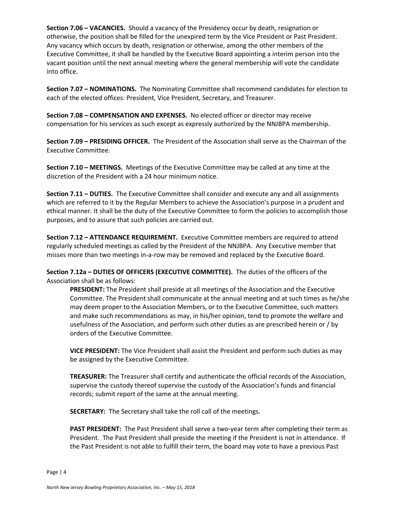**Section 7.06 – VACANCIES.** Should a vacancy of the Presidency occur by death, resignation or otherwise, the position shall be filled for the unexpired term by the Vice President or Past President. Any vacancy which occurs by death, resignation or otherwise, among the other members of the Executive Committee, it shall be handled by the Executive Board appointing a interim person into the vacant position until the next annual meeting where the general membership will vote the candidate into office.

**Section 7.07 – NOMINATIONS.** The Nominating Committee shall recommend candidates for election to each of the elected offices: President, Vice President, Secretary, and Treasurer.

**Section 7.08 – COMPENSATION AND EXPENSES.** No elected officer or director may receive compensation for his services as such except as expressly authorized by the NNJBPA membership.

**Section 7.09 – PRESIDING OFFICER.** The President of the Association shall serve as the Chairman of the Executive Committee.

**Section 7.10 – MEETINGS.** Meetings of the Executive Committee may be called at any time at the discretion of the President with a 24 hour minimum notice.

**Section 7.11 – DUTIES.** The Executive Committee shall consider and execute any and all assignments which are referred to it by the Regular Members to achieve the Association's purpose in a prudent and ethical manner. It shall be the duty of the Executive Committee to form the policies to accomplish those purposes, and to assure that such policies are carried out.

**Section 7.12 – ATTENDANCE REQUIREMENT.** Executive Committee members are required to attend regularly scheduled meetings as called by the President of the NNJBPA. Any Executive member that misses more than two meetings in-a-row may be removed and replaced by the Executive Board.

**Section 7.12a – DUTIES OF OFFICERS (EXECUTIVE COMMITTEE).** The duties of the officers of the Association shall be as follows:

**PRESIDENT:** The President shall preside at all meetings of the Association and the Executive Committee. The President shall communicate at the annual meeting and at such times as he/she may deem proper to the Association Members, or to the Executive Committee, such matters and make such recommendations as may, in his/her opinion, tend to promote the welfare and usefulness of the Association, and perform such other duties as are prescribed herein or / by orders of the Executive Committee.

**VICE PRESIDENT:** The Vice President shall assist the President and perform such duties as may be assigned by the Executive Committee.

**TREASURER:** The Treasurer shall certify and authenticate the official records of the Association, supervise the custody thereof supervise the custody of the Association's funds and financial records; submit report of the same at the annual meeting.

**SECRETARY:** The Secretary shall take the roll call of the meetings.

**PAST PRESIDENT:** The Past President shall serve a two-year term after completing their term as President. The Past President shall preside the meeting if the President is not in attendance. If the Past President is not able to fulfill their term, the board may vote to have a previous Past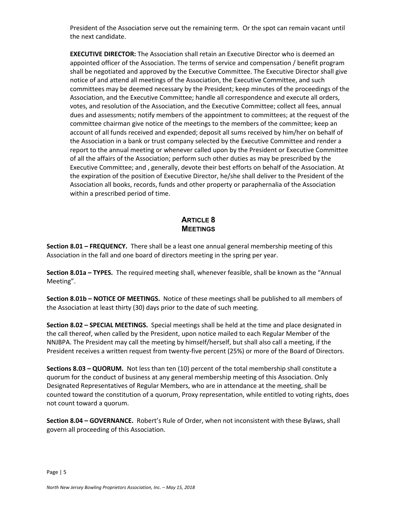President of the Association serve out the remaining term. Or the spot can remain vacant until the next candidate.

**EXECUTIVE DIRECTOR:** The Association shall retain an Executive Director who is deemed an appointed officer of the Association. The terms of service and compensation / benefit program shall be negotiated and approved by the Executive Committee. The Executive Director shall give notice of and attend all meetings of the Association, the Executive Committee, and such committees may be deemed necessary by the President; keep minutes of the proceedings of the Association, and the Executive Committee; handle all correspondence and execute all orders, votes, and resolution of the Association, and the Executive Committee; collect all fees, annual dues and assessments; notify members of the appointment to committees; at the request of the committee chairman give notice of the meetings to the members of the committee; keep an account of all funds received and expended; deposit all sums received by him/her on behalf of the Association in a bank or trust company selected by the Executive Committee and render a report to the annual meeting or whenever called upon by the President or Executive Committee of all the affairs of the Association; perform such other duties as may be prescribed by the Executive Committee; and , generally, devote their best efforts on behalf of the Association. At the expiration of the position of Executive Director, he/she shall deliver to the President of the Association all books, records, funds and other property or paraphernalia of the Association within a prescribed period of time.

### **ARTICLE 8 MEETINGS**

**Section 8.01 – FREQUENCY.** There shall be a least one annual general membership meeting of this Association in the fall and one board of directors meeting in the spring per year.

**Section 8.01a – TYPES.** The required meeting shall, whenever feasible, shall be known as the "Annual Meeting".

**Section 8.01b – NOTICE OF MEETINGS.** Notice of these meetings shall be published to all members of the Association at least thirty (30) days prior to the date of such meeting.

**Section 8.02 – SPECIAL MEETINGS.** Special meetings shall be held at the time and place designated in the call thereof, when called by the President, upon notice mailed to each Regular Member of the NNJBPA. The President may call the meeting by himself/herself, but shall also call a meeting, if the President receives a written request from twenty-five percent (25%) or more of the Board of Directors.

**Sections 8.03 – QUORUM.** Not less than ten (10) percent of the total membership shall constitute a quorum for the conduct of business at any general membership meeting of this Association. Only Designated Representatives of Regular Members, who are in attendance at the meeting, shall be counted toward the constitution of a quorum, Proxy representation, while entitled to voting rights, does not count toward a quorum.

**Section 8.04 – GOVERNANCE.** Robert's Rule of Order, when not inconsistent with these Bylaws, shall govern all proceeding of this Association.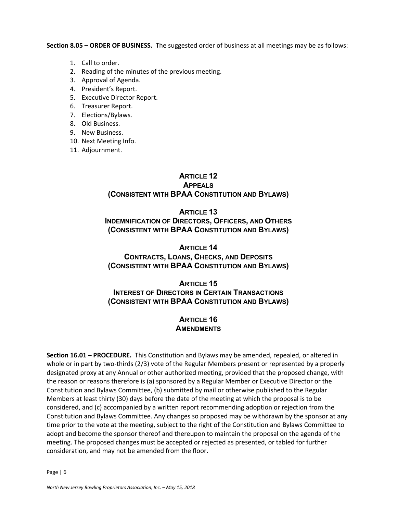**Section 8.05 – ORDER OF BUSINESS.** The suggested order of business at all meetings may be as follows:

- 1. Call to order.
- 2. Reading of the minutes of the previous meeting.
- 3. Approval of Agenda.
- 4. President's Report.
- 5. Executive Director Report.
- 6. Treasurer Report.
- 7. Elections/Bylaws.
- 8. Old Business.
- 9. New Business.
- 10. Next Meeting Info.
- 11. Adjournment.

## **ARTICLE 12**

### **APPEALS (CONSISTENT WITH BPAA CONSTITUTION AND BYLAWS)**

### **ARTICLE 13 INDEMNIFICATION OF DIRECTORS, OFFICERS, AND OTHERS (CONSISTENT WITH BPAA CONSTITUTION AND BYLAWS)**

### **ARTICLE 14 CONTRACTS, LOANS, CHECKS, AND DEPOSITS (CONSISTENT WITH BPAA CONSTITUTION AND BYLAWS)**

### **ARTICLE 15**

### **INTEREST OF DIRECTORS IN CERTAIN TRANSACTIONS (CONSISTENT WITH BPAA CONSTITUTION AND BYLAWS)**

### **ARTICLE 16 AMENDMENTS**

**Section 16.01 – PROCEDURE.** This Constitution and Bylaws may be amended, repealed, or altered in whole or in part by two-thirds (2/3) vote of the Regular Members present or represented by a properly designated proxy at any Annual or other authorized meeting, provided that the proposed change, with the reason or reasons therefore is (a) sponsored by a Regular Member or Executive Director or the Constitution and Bylaws Committee, (b) submitted by mail or otherwise published to the Regular Members at least thirty (30) days before the date of the meeting at which the proposal is to be considered, and (c) accompanied by a written report recommending adoption or rejection from the Constitution and Bylaws Committee. Any changes so proposed may be withdrawn by the sponsor at any time prior to the vote at the meeting, subject to the right of the Constitution and Bylaws Committee to adopt and become the sponsor thereof and thereupon to maintain the proposal on the agenda of the meeting. The proposed changes must be accepted or rejected as presented, or tabled for further consideration, and may not be amended from the floor.

Page | 6